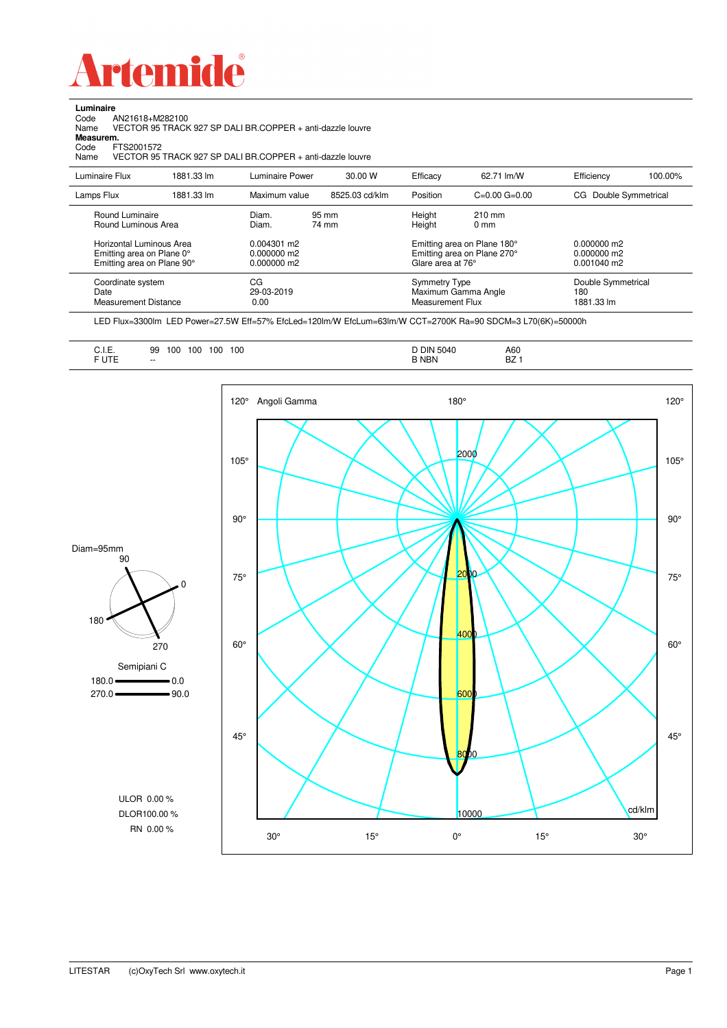

Code AN21618+M282100 Name VECTOR 95 TRACK 927 SP DALI BR.COPPER + anti-dazzle louvre

**Luminaire**<br>Code /<br>Name \

| Measurem.<br>Code<br>FTS2001572<br>VECTOR 95 TRACK 927 SP DALI BR.COPPER + anti-dazzle louvre<br>Name |            |                                                      |                |                                          |                                                            |                                               |         |  |  |  |
|-------------------------------------------------------------------------------------------------------|------------|------------------------------------------------------|----------------|------------------------------------------|------------------------------------------------------------|-----------------------------------------------|---------|--|--|--|
| Luminaire Flux                                                                                        | 1881.33 lm | Luminaire Power                                      | 30.00 W        | Efficacy                                 | 62.71 lm/W                                                 | Efficiency                                    | 100.00% |  |  |  |
| Lamps Flux                                                                                            | 1881.33 lm | Maximum value                                        | 8525.03 cd/klm | Position                                 | $C=0.00$ $G=0.00$                                          | CG Double Symmetrical                         |         |  |  |  |
| Round Luminaire<br>Round Luminous Area                                                                |            | Diam.<br>Diam.                                       | 95 mm<br>74 mm | Height<br>Height                         | $210 \text{ mm}$<br>0 <sub>mm</sub>                        |                                               |         |  |  |  |
| Horizontal Luminous Area<br>Emitting area on Plane 0°<br>Emitting area on Plane 90°                   |            | 0.004301 m2<br>$0.000000 \text{ m}$ 2<br>0.000000 m2 |                | Glare area at 76°                        | Emitting area on Plane 180°<br>Emitting area on Plane 270° | $0.000000$ m2<br>$0.000000$ m2<br>0.001040 m2 |         |  |  |  |
| Coordinate system<br>Date<br><b>Measurement Distance</b>                                              |            | CG<br>29-03-2019<br>0.00                             |                | <b>Symmetry Type</b><br>Measurement Flux | Maximum Gamma Angle                                        | Double Symmetrical<br>180<br>1881.33 lm       |         |  |  |  |

LED Flux=3300lm LED Power=27.5W Eff=57% EfcLed=120lm/W EfcLum=63lm/W CCT=2700K Ra=90 SDCM=3 L70(6K)=50000h